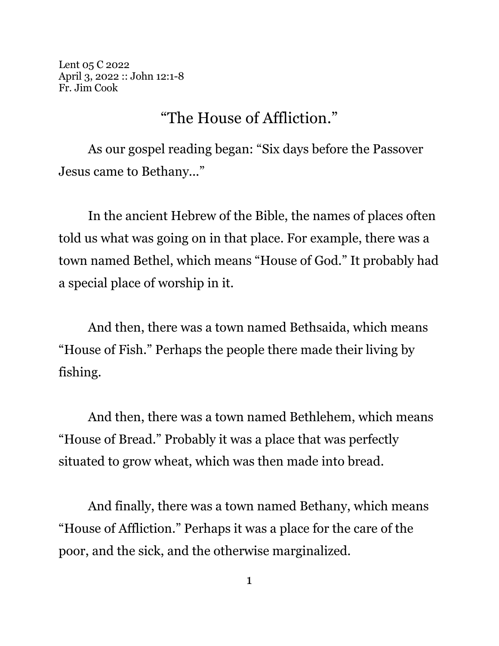Lent 05 C 2022 April 3, 2022 :: John 12:1-8 Fr. Jim Cook

## "The House of Affliction."

As our gospel reading began: "Six days before the Passover Jesus came to Bethany..."

In the ancient Hebrew of the Bible, the names of places often told us what was going on in that place. For example, there was a town named Bethel, which means "House of God." It probably had a special place of worship in it.

And then, there was a town named Bethsaida, which means "House of Fish." Perhaps the people there made their living by fishing.

And then, there was a town named Bethlehem, which means "House of Bread." Probably it was a place that was perfectly situated to grow wheat, which was then made into bread.

And finally, there was a town named Bethany, which means "House of Affliction." Perhaps it was a place for the care of the poor, and the sick, and the otherwise marginalized.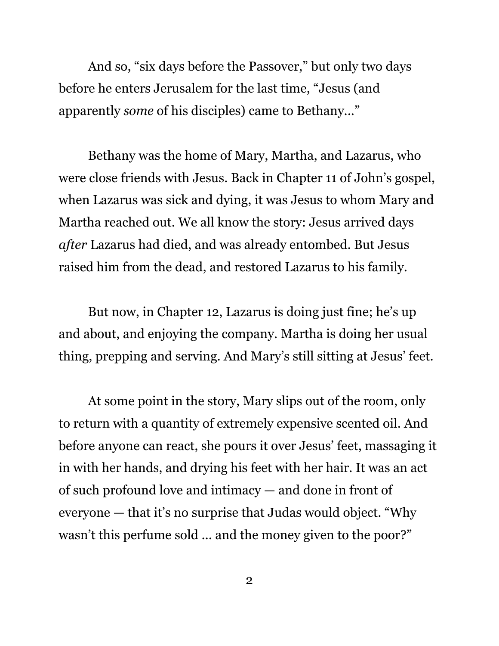And so, "six days before the Passover," but only two days before he enters Jerusalem for the last time, "Jesus (and apparently *some* of his disciples) came to Bethany..."

Bethany was the home of Mary, Martha, and Lazarus, who were close friends with Jesus. Back in Chapter 11 of John's gospel, when Lazarus was sick and dying, it was Jesus to whom Mary and Martha reached out. We all know the story: Jesus arrived days *after* Lazarus had died, and was already entombed. But Jesus raised him from the dead, and restored Lazarus to his family.

But now, in Chapter 12, Lazarus is doing just fine; he's up and about, and enjoying the company. Martha is doing her usual thing, prepping and serving. And Mary's still sitting at Jesus' feet.

At some point in the story, Mary slips out of the room, only to return with a quantity of extremely expensive scented oil. And before anyone can react, she pours it over Jesus' feet, massaging it in with her hands, and drying his feet with her hair. It was an act of such profound love and intimacy — and done in front of everyone — that it's no surprise that Judas would object. "Why wasn't this perfume sold ... and the money given to the poor?"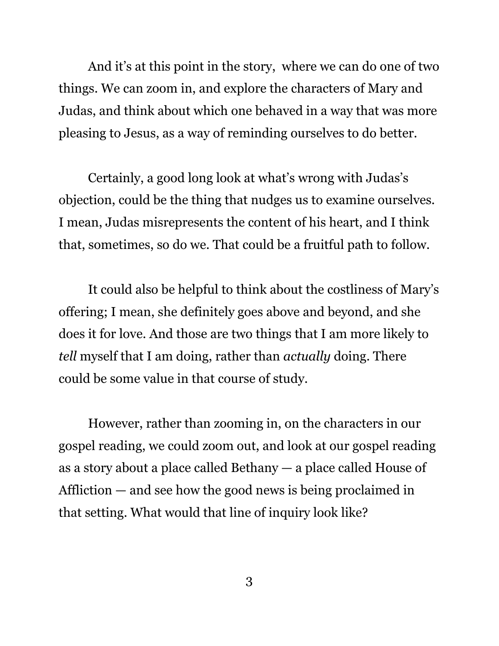And it's at this point in the story, where we can do one of two things. We can zoom in, and explore the characters of Mary and Judas, and think about which one behaved in a way that was more pleasing to Jesus, as a way of reminding ourselves to do better.

Certainly, a good long look at what's wrong with Judas's objection, could be the thing that nudges us to examine ourselves. I mean, Judas misrepresents the content of his heart, and I think that, sometimes, so do we. That could be a fruitful path to follow.

It could also be helpful to think about the costliness of Mary's offering; I mean, she definitely goes above and beyond, and she does it for love. And those are two things that I am more likely to *tell* myself that I am doing, rather than *actually* doing. There could be some value in that course of study.

However, rather than zooming in, on the characters in our gospel reading, we could zoom out, and look at our gospel reading as a story about a place called Bethany — a place called House of Affliction — and see how the good news is being proclaimed in that setting. What would that line of inquiry look like?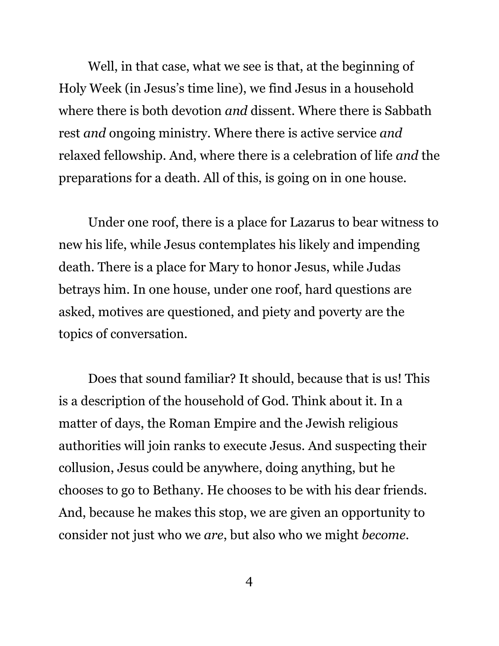Well, in that case, what we see is that, at the beginning of Holy Week (in Jesus's time line), we find Jesus in a household where there is both devotion *and* dissent. Where there is Sabbath rest *and* ongoing ministry. Where there is active service *and* relaxed fellowship. And, where there is a celebration of life *and* the preparations for a death. All of this, is going on in one house.

Under one roof, there is a place for Lazarus to bear witness to new his life, while Jesus contemplates his likely and impending death. There is a place for Mary to honor Jesus, while Judas betrays him. In one house, under one roof, hard questions are asked, motives are questioned, and piety and poverty are the topics of conversation.

Does that sound familiar? It should, because that is us! This is a description of the household of God. Think about it. In a matter of days, the Roman Empire and the Jewish religious authorities will join ranks to execute Jesus. And suspecting their collusion, Jesus could be anywhere, doing anything, but he chooses to go to Bethany. He chooses to be with his dear friends. And, because he makes this stop, we are given an opportunity to consider not just who we *are*, but also who we might *become*.

4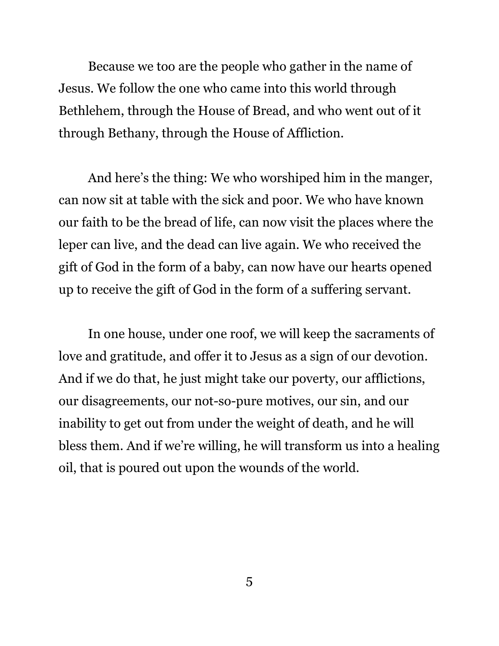Because we too are the people who gather in the name of Jesus. We follow the one who came into this world through Bethlehem, through the House of Bread, and who went out of it through Bethany, through the House of Affliction.

And here's the thing: We who worshiped him in the manger, can now sit at table with the sick and poor. We who have known our faith to be the bread of life, can now visit the places where the leper can live, and the dead can live again. We who received the gift of God in the form of a baby, can now have our hearts opened up to receive the gift of God in the form of a suffering servant.

In one house, under one roof, we will keep the sacraments of love and gratitude, and offer it to Jesus as a sign of our devotion. And if we do that, he just might take our poverty, our afflictions, our disagreements, our not-so-pure motives, our sin, and our inability to get out from under the weight of death, and he will bless them. And if we're willing, he will transform us into a healing oil, that is poured out upon the wounds of the world.